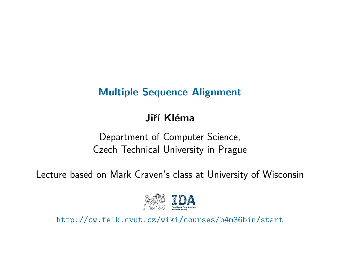## Multiple Sequence Alignment

# Jiří Kléma

## Department of Computer Science, Czech Technical University in Prague

Lecture based on Mark Craven's class at University of Wisconsin



http://cw.felk.cvut.cz/wiki/courses/b4m36bin/start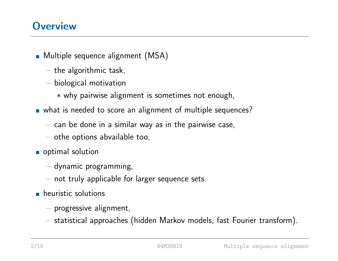#### **Overview**

**Multiple sequence alignment (MSA)** 

- − the algorithmic task,
- − biological motivation
	- \* why pairwise alignment is sometimes not enough,
- what is needed to score an alignment of multiple sequences?
	- $-$  can be done in a similar way as in the pairwise case,
	- − othe options abvailable too,
- optimal solution
	- − dynamic programming,
	- − not truly applicable for larger sequence sets.
- **heuristic solutions** 
	- − progressive alignment,
	- − statistical approaches (hidden Markov models, fast Fourier transform).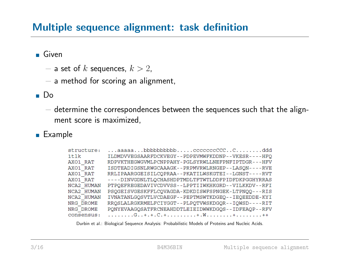### Multiple sequence alignment: task definition

Given

- $-$  a set of  $k$  sequences,  $k > 2$ ,
- − a method for scoring an alignment,

Do

− determine the correspondences between the sequences such that the alignment score is maximized,

**Example** 

| structure: | $\dots$ aaaaa $\dots$ bbbbbbbbbbbb ccccccccCCCddd       |
|------------|---------------------------------------------------------|
| 1tlk       | ILDMDVVEGSAARFDCKVEGY--PDPEVMWFKDDNP--VKESR----HFQ      |
| AXO1 RAT   | RDPVKTHEGWGVMLPCNPPAHY-PGLSYRWLLNEFPNFIPTDGR---HFV      |
| AXO1 RAT   | ISDTEADIGSNLRWGCAAAGK--PRPMVRWLRNGEP--LASON----RVE      |
| AXO1 RAT   | RRLIPAARGGEISILCQPRAA -- PKATILWSKGTEI -- LGNST---- RVT |
| AXO1 RAT   | ----DINVGDNLTLOCHASHDPTMDLTFTWTLDDFPIDFDKPGGHYRRAS      |
| NCA2 HUMAN | PTPOEFREGEDAVIVCDVVSS--LPPTIIWKHKGRD--VILKKDV--RFI      |
| NCA2 HUMAN | PSQGEISVGESKFFLCQVAGDA-KDKDISWFSPNGEK-LTPNQQ---RIS      |
| NCA2 HUMAN | IVNATANLGQSVTLVCDAEGF--PEPTMSWTKDGEQ--IEQEEDDE-KYI      |
| NRG DROME  | RRQSLALRGKRMELFCIYGGT--PLPQTVWSKDGQR--IQWSD----RIT      |
| NRG DROME  | PONYEVAAGOSATFRCNEAHDDTLEIEIDWWKDGOS--IDFEAOP--RFV      |
| consensus: |                                                         |

Durbin et al.: Biological Sequence Analysis: Probabilistic Models of Proteins and Nucleic Acids.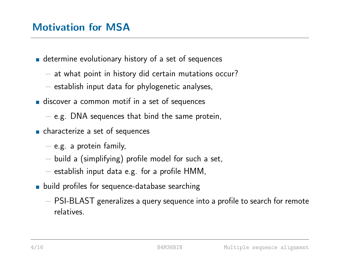- **determine evolutionary history of a set of sequences** 
	- − at what point in history did certain mutations occur?
	- − establish input data for phylogenetic analyses,
- **discover a common motif in a set of sequences** 
	- − e.g. DNA sequences that bind the same protein,
- **n** characterize a set of sequences
	- − e.g. a protein family,
	- − build a (simplifying) profile model for such a set,
	- − establish input data e.g. for a profile HMM,
- **Depth** build profiles for sequence-database searching
	- − PSI-BLAST generalizes a query sequence into a profile to search for remote relatives.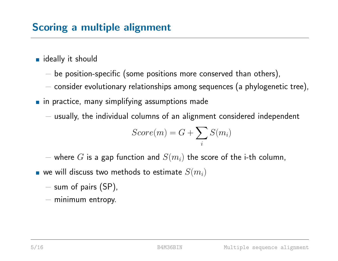## Scoring a multiple alignment

- ideally it should
	- $-$  be position-specific (some positions more conserved than others),
	- − consider evolutionary relationships among sequences (a phylogenetic tree),
- **n** in practice, many simplifying assumptions made
	- − usually, the individual columns of an alignment considered independent

$$
Score(m) = G + \sum_{i} S(m_i)
$$

− where  $G$  is a gap function and  $S(m_i)$  the score of the i-th column,

- $\blacksquare$  we will discuss two methods to estimate  $S(m_i)$ 
	- − sum of pairs (SP),
	- − minimum entropy.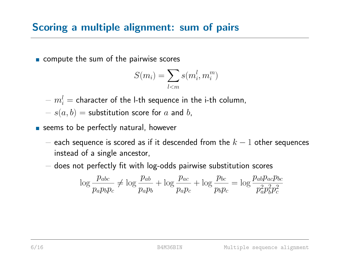### Scoring a multiple alignment: sum of pairs

compute the sum of the pairwise scores

$$
S(m_i) = \sum_{l < m} s(m_i^l, m_i^m)
$$

 $\delta - m^{l}_{i} =$  character of the l-th sequence in the i-th column,

 $- s(a, b) =$  substitution score for a and b,

- seems to be perfectly natural, however
	- $-$  each sequence is scored as if it descended from the  $k-1$  other sequences instead of a single ancestor,
	- − does not perfectly fit with log-odds pairwise substitution scores

$$
\log \frac{p_{abc}}{p_a p_b p_c} \neq \log \frac{p_{ab}}{p_a p_b} + \log \frac{p_{ac}}{p_a p_c} + \log \frac{p_{bc}}{p_b p_c} = \log \frac{p_{ab} p_{ac} p_{bc}}{p_a^2 p_b^2 p_c^2}
$$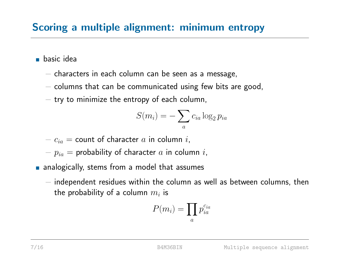## Scoring a multiple alignment: minimum entropy

**basic** idea

- − characters in each column can be seen as a message,
- − columns that can be communicated using few bits are good,
- $-$  try to minimize the entropy of each column,

$$
S(m_i) = -\sum_a c_{ia} \log_2 p_{ia}
$$

 $-c_{ia}$  = count of character  $a$  in column  $i$ ,

- $-p_{ia}$  = probability of character  $a$  in column  $i$ ,
- **n** analogically, stems from a model that assumes
	- − independent residues within the column as well as between columns, then the probability of a column  $m_i$  is

$$
P(m_i) = \prod_a p_{ia}^{c_{ia}}
$$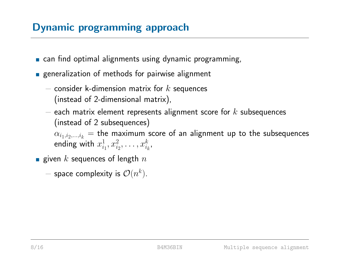# **Dynamic programming approach**

- **Example 2 can find optimal alignments using dynamic programming,**
- **Exercise 1** generalization of methods for pairwise alignment
	- $-$  consider k-dimension matrix for  $k$  sequences (instead of 2-dimensional matrix),
	- $-$  each matrix element represents alignment score for  $k$  subsequences (instead of 2 subsequences)

 $\alpha_{i_1,i_2,...,i_k}$  = the maximum score of an alignment up to the subsequences ending with  $x_i^1$  $i_1^1, x_{i_2}^2, \ldots, x_{i_k}^k,$ 

- **given** k sequences of length  $n$ 
	- $-$  space complexity is  $\mathcal{O}(n^k)$ .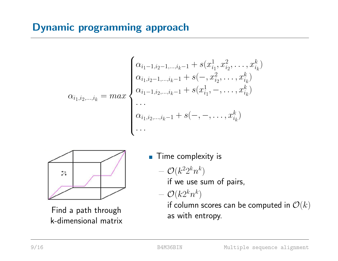# **Dynamic programming approach**

$$
\alpha_{i_1,i_2,\dots,i_k} = max \begin{cases} \alpha_{i_1-1,i_2-1,\dots,i_k-1} + s(x_{i_1}^1, x_{i_2}^2, \dots, x_{i_k}^k) \\ \alpha_{i_1,i_2-1,\dots,i_k-1} + s(-, x_{i_2}^2, \dots, x_{i_k}^k) \\ \alpha_{i_1-1,i_2,\dots,i_k-1} + s(x_{i_1}^1, -, \dots, x_{i_k}^k) \\ \vdots \\ \alpha_{i_1,i_2,\dots,i_k-1} + s(-, -, \dots, x_{i_k}^k) \\ \vdots \end{cases}
$$



Find a path through k-dimensional matrix

**Time complexity is** 

$$
{}-{\cal O}(k^22^kn^k)
$$

if we use sum of pairs,

 $\mathcal{O}(k 2^k n^k)$ 

if column scores can be computed in  $\mathcal{O}(k)$ as with entropy.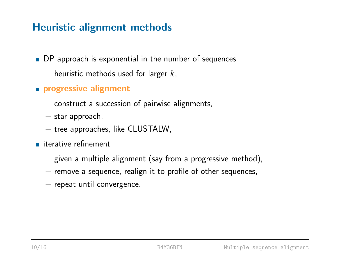## Heuristic alignment methods

- DP approach is exponential in the number of sequences
	- $-$  heuristic methods used for larger  $k$ ,
- **progressive alignment** 
	- − construct a succession of pairwise alignments,
	- − star approach,
	- − tree approaches, like CLUSTALW,
- **iterative refinement** 
	- − given a multiple alignment (say from a progressive method),
	- − remove a sequence, realign it to profile of other sequences,
	- − repeat until convergence.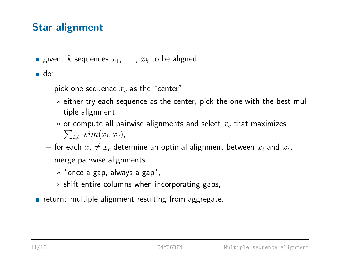## Star alignment

- **given:** k sequences  $x_1, \ldots, x_k$  to be aligned
- do:
	- $-$  pick one sequence  $x_c$  as the "center"
		- \* either try each sequence as the center, pick the one with the best multiple alignment,
		- $\ast$  or compute all pairwise alignments and select  $x_c$  that maximizes  $\sum_{i\neq c} sim(x_i, x_c)$ ,
	- $-$  for each  $x_i \neq x_c$  determine an optimal alignment between  $x_i$  and  $x_c$ ,
	- − merge pairwise alignments
		- \* "once a gap, always a gap",
		- \* shift entire columns when incorporating gaps,
- **Fig. 2** return: multiple alignment resulting from aggregate.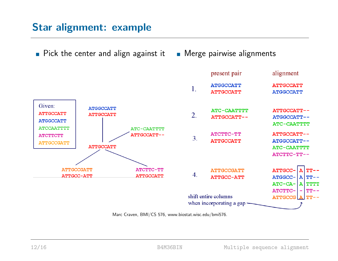### Star alignment: example

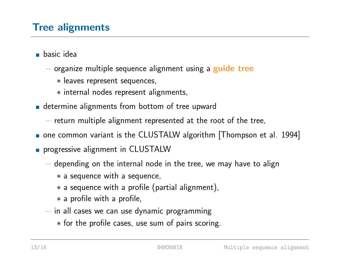## **Tree alignments**

- basic idea
	- − organize multiple sequence alignment using a **guide tree** 
		- \* leaves represent sequences,
		- \* internal nodes represent alignments,
- determine alignments from bottom of tree upward
	- $-$  return multiple alignment represented at the root of the tree,
- one common variant is the CLUSTALW algorithm [Thompson et al. 1994]
- **progressive alignment in CLUSTALW** 
	- − depending on the internal node in the tree, we may have to align
		- \* a sequence with a sequence,
		- $*$  a sequence with a profile (partial alignment),
		- \* a profile with a profile,
	- $-$  in all cases we can use dynamic programming
		- \* for the profile cases, use sum of pairs scoring.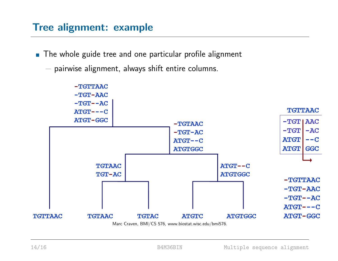### Tree alignment: example

■ The whole guide tree and one particular profile alignment

− pairwise alignment, always shift entire columns.

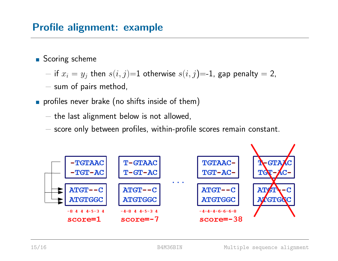### Profile alignment: example

- Scoring scheme
	- − if  $x_i = y_j$  then  $s(i, j) = 1$  otherwise  $s(i, j) = -1$ , gap penalty = 2,
	- − sum of pairs method,
- **profiles never brake (no shifts inside of them)** 
	- − the last alignment below is not allowed,
	- − score only between profiles, within-profile scores remain constant.